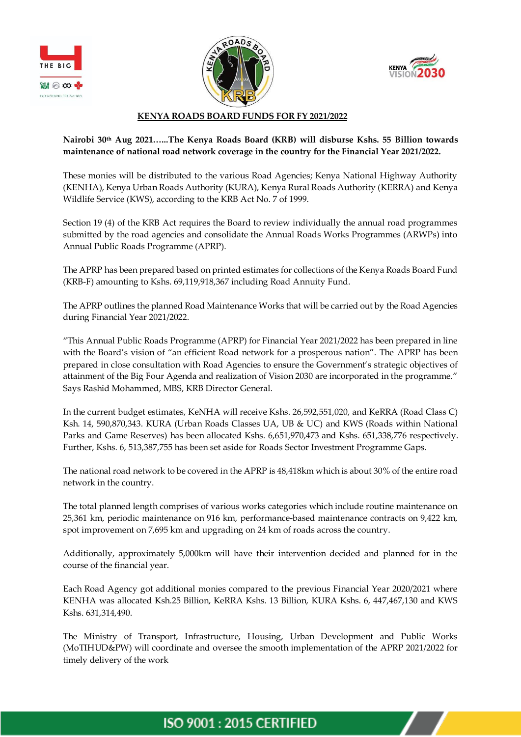





#### **KENYA ROADS BOARD FUNDS FOR FY 2021/2022**

## **Nairobi 30th Aug 2021…...The Kenya Roads Board (KRB) will disburse Kshs. 55 Billion towards maintenance of national road network coverage in the country for the Financial Year 2021/2022.**

These monies will be distributed to the various Road Agencies; Kenya National Highway Authority (KENHA), Kenya Urban Roads Authority (KURA), Kenya Rural Roads Authority (KERRA) and Kenya Wildlife Service (KWS), according to the KRB Act No. 7 of 1999.

Section 19 (4) of the KRB Act requires the Board to review individually the annual road programmes submitted by the road agencies and consolidate the Annual Roads Works Programmes (ARWPs) into Annual Public Roads Programme (APRP).

The APRP has been prepared based on printed estimates for collections of the Kenya Roads Board Fund (KRB-F) amounting to Kshs. 69,119,918,367 including Road Annuity Fund.

The APRP outlines the planned Road Maintenance Works that will be carried out by the Road Agencies during Financial Year 2021/2022.

"This Annual Public Roads Programme (APRP) for Financial Year 2021/2022 has been prepared in line with the Board's vision of "an efficient Road network for a prosperous nation". The APRP has been prepared in close consultation with Road Agencies to ensure the Government's strategic objectives of attainment of the Big Four Agenda and realization of Vision 2030 are incorporated in the programme." Says Rashid Mohammed, MBS, KRB Director General.

In the current budget estimates, KeNHA will receive Kshs. 26,592,551,020, and KeRRA (Road Class C) Ksh. 14, 590,870,343. KURA (Urban Roads Classes UA, UB & UC) and KWS (Roads within National Parks and Game Reserves) has been allocated Kshs. 6,651,970,473 and Kshs. 651,338,776 respectively. Further, Kshs. 6, 513,387,755 has been set aside for Roads Sector Investment Programme Gaps.

The national road network to be covered in the APRP is 48,418km which is about 30% of the entire road network in the country.

The total planned length comprises of various works categories which include routine maintenance on 25,361 km, periodic maintenance on 916 km, performance-based maintenance contracts on 9,422 km, spot improvement on 7,695 km and upgrading on 24 km of roads across the country.

Additionally, approximately 5,000km will have their intervention decided and planned for in the course of the financial year.

Each Road Agency got additional monies compared to the previous Financial Year 2020/2021 where KENHA was allocated Ksh.25 Billion, KeRRA Kshs. 13 Billion, KURA Kshs. 6, 447,467,130 and KWS Kshs. 631,314,490.

The Ministry of Transport, Infrastructure, Housing, Urban Development and Public Works (MoTIHUD&PW) will coordinate and oversee the smooth implementation of the APRP 2021/2022 for timely delivery of the work

# **ISO 9001: 2015 CERTIFIED**